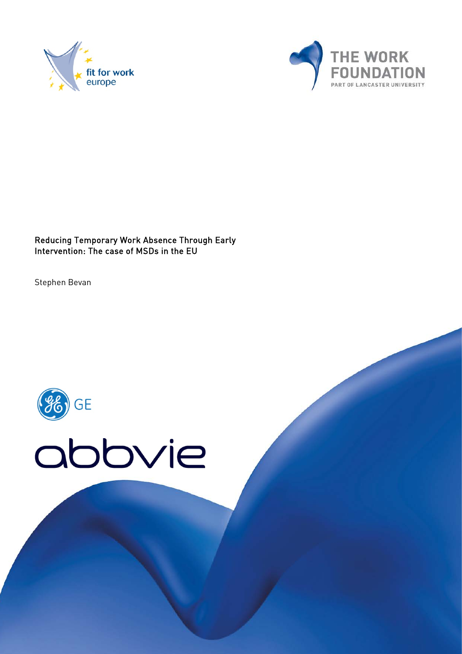



Reducing Temporary Work Absence Through Early Intervention: The case of MSDs in the EU

Stephen Bevan

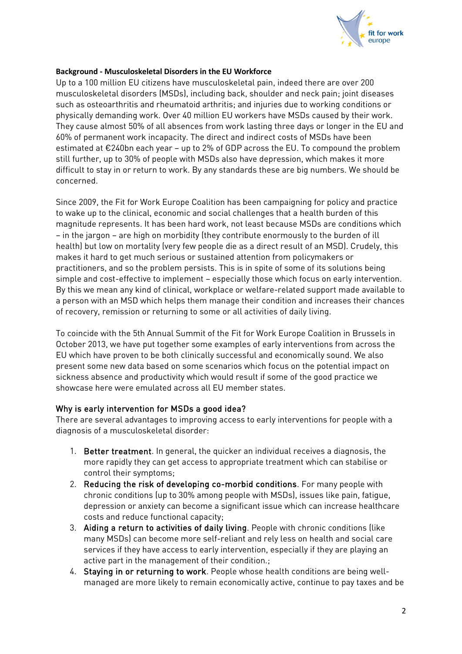

#### **Background - Musculoskeletal Disorders in the EU Workforce**

Up to a 100 million EU citizens have musculoskeletal pain, indeed there are over 200 musculoskeletal disorders (MSDs), including back, shoulder and neck pain; joint diseases such as osteoarthritis and rheumatoid arthritis; and injuries due to working conditions or physically demanding work. Over 40 million EU workers have MSDs caused by their work. They cause almost 50% of all absences from work lasting three days or longer in the EU and 60% of permanent work incapacity. The direct and indirect costs of MSDs have been estimated at €240bn each year – up to 2% of GDP across the EU. To compound the problem still further, up to 30% of people with MSDs also have depression, which makes it more difficult to stay in or return to work. By any standards these are big numbers. We should be concerned.

Since 2009, the Fit for Work Europe Coalition has been campaigning for policy and practice to wake up to the clinical, economic and social challenges that a health burden of this magnitude represents. It has been hard work, not least because MSDs are conditions which – in the jargon – are high on morbidity (they contribute enormously to the burden of ill health) but low on mortality (very few people die as a direct result of an MSD). Crudely, this makes it hard to get much serious or sustained attention from policymakers or practitioners, and so the problem persists. This is in spite of some of its solutions being simple and cost-effective to implement – especially those which focus on early intervention. By this we mean any kind of clinical, workplace or welfare-related support made available to a person with an MSD which helps them manage their condition and increases their chances of recovery, remission or returning to some or all activities of daily living.

To coincide with the 5th Annual Summit of the Fit for Work Europe Coalition in Brussels in October 2013, we have put together some examples of early interventions from across the EU which have proven to be both clinically successful and economically sound. We also present some new data based on some scenarios which focus on the potential impact on sickness absence and productivity which would result if some of the good practice we showcase here were emulated across all EU member states.

#### Why is early intervention for MSDs a good idea?

There are several advantages to improving access to early interventions for people with a diagnosis of a musculoskeletal disorder:

- 1. Better treatment. In general, the quicker an individual receives a diagnosis, the more rapidly they can get access to appropriate treatment which can stabilise or control their symptoms;
- 2. Reducing the risk of developing co-morbid conditions. For many people with chronic conditions (up to 30% among people with MSDs), issues like pain, fatigue, depression or anxiety can become a significant issue which can increase healthcare costs and reduce functional capacity;
- 3. Aiding a return to activities of daily living. People with chronic conditions (like many MSDs) can become more self-reliant and rely less on health and social care services if they have access to early intervention, especially if they are playing an active part in the management of their condition.;
- 4. Staying in or returning to work. People whose health conditions are being wellmanaged are more likely to remain economically active, continue to pay taxes and be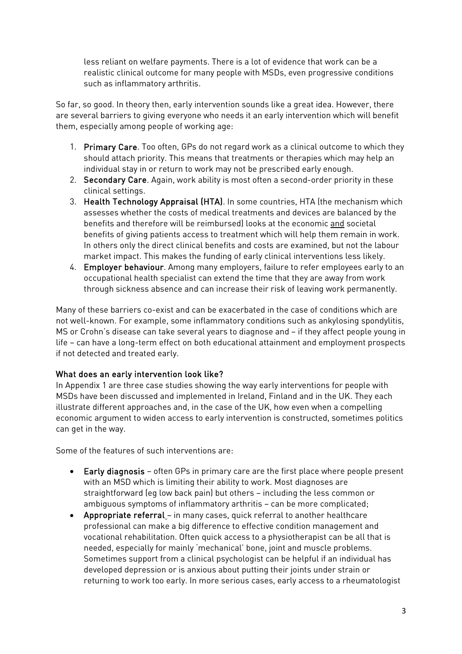less reliant on welfare payments. There is a lot of evidence that work can be a realistic clinical outcome for many people with MSDs, even progressive conditions such as inflammatory arthritis.

So far, so good. In theory then, early intervention sounds like a great idea. However, there are several barriers to giving everyone who needs it an early intervention which will benefit them, especially among people of working age:

- 1. Primary Care. Too often, GPs do not regard work as a clinical outcome to which they should attach priority. This means that treatments or therapies which may help an individual stay in or return to work may not be prescribed early enough.
- 2. Secondary Care. Again, work ability is most often a second-order priority in these clinical settings.
- 3. Health Technology Appraisal (HTA). In some countries, HTA (the mechanism which assesses whether the costs of medical treatments and devices are balanced by the benefits and therefore will be reimbursed) looks at the economic and societal benefits of giving patients access to treatment which will help them remain in work. In others only the direct clinical benefits and costs are examined, but not the labour market impact. This makes the funding of early clinical interventions less likely.
- 4. Employer behaviour. Among many employers, failure to refer employees early to an occupational health specialist can extend the time that they are away from work through sickness absence and can increase their risk of leaving work permanently.

Many of these barriers co-exist and can be exacerbated in the case of conditions which are not well-known. For example, some inflammatory conditions such as ankylosing spondylitis, MS or Crohn's disease can take several years to diagnose and – if they affect people young in life – can have a long-term effect on both educational attainment and employment prospects if not detected and treated early.

#### What does an early intervention look like?

In Appendix 1 are three case studies showing the way early interventions for people with MSDs have been discussed and implemented in Ireland, Finland and in the UK. They each illustrate different approaches and, in the case of the UK, how even when a compelling economic argument to widen access to early intervention is constructed, sometimes politics can get in the way.

Some of the features of such interventions are:

- Early diagnosis often GPs in primary care are the first place where people present with an MSD which is limiting their ability to work. Most diagnoses are straightforward (eg low back pain) but others – including the less common or ambiguous symptoms of inflammatory arthritis – can be more complicated;
- Appropriate referral in many cases, quick referral to another healthcare professional can make a big difference to effective condition management and vocational rehabilitation. Often quick access to a physiotherapist can be all that is needed, especially for mainly 'mechanical' bone, joint and muscle problems. Sometimes support from a clinical psychologist can be helpful if an individual has developed depression or is anxious about putting their joints under strain or returning to work too early. In more serious cases, early access to a rheumatologist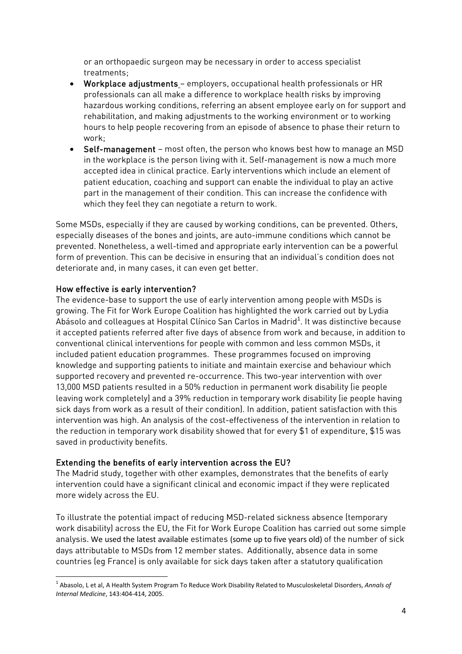or an orthopaedic surgeon may be necessary in order to access specialist treatments;

- Workplace adjustments employers, occupational health professionals or HR professionals can all make a difference to workplace health risks by improving hazardous working conditions, referring an absent employee early on for support and rehabilitation, and making adjustments to the working environment or to working hours to help people recovering from an episode of absence to phase their return to work;
- Self-management most often, the person who knows best how to manage an MSD in the workplace is the person living with it. Self-management is now a much more accepted idea in clinical practice. Early interventions which include an element of patient education, coaching and support can enable the individual to play an active part in the management of their condition. This can increase the confidence with which they feel they can negotiate a return to work.

Some MSDs, especially if they are caused by working conditions, can be prevented. Others, especially diseases of the bones and joints, are auto-immune conditions which cannot be prevented. Nonetheless, a well-timed and appropriate early intervention can be a powerful form of prevention. This can be decisive in ensuring that an individual's condition does not deteriorate and, in many cases, it can even get better.

#### How effective is early intervention?

The evidence-base to support the use of early intervention among people with MSDs is growing. The Fit for Work Europe Coalition has highlighted the work carried out by Lydia Abásolo and colleagues at Hospital Clínico San Carlos in Madrid<sup>[1](#page-3-0)</sup>. It was distinctive because it accepted patients referred after five days of absence from work and because, in addition to conventional clinical interventions for people with common and less common MSDs, it included patient education programmes. These programmes focused on improving knowledge and supporting patients to initiate and maintain exercise and behaviour which supported recovery and prevented re-occurrence. This two-year intervention with over 13,000 MSD patients resulted in a 50% reduction in permanent work disability (ie people leaving work completely) and a 39% reduction in temporary work disability (ie people having sick days from work as a result of their condition). In addition, patient satisfaction with this intervention was high. An analysis of the cost-effectiveness of the intervention in relation to the reduction in temporary work disability showed that for every \$1 of expenditure, \$15 was saved in productivity benefits.

#### Extending the benefits of early intervention across the EU?

The Madrid study, together with other examples, demonstrates that the benefits of early intervention could have a significant clinical and economic impact if they were replicated more widely across the EU.

To illustrate the potential impact of reducing MSD-related sickness absence (temporary work disability) across the EU, the Fit for Work Europe Coalition has carried out some simple analysis. We used the latest available estimates (some up to five years old) of the number of sick days attributable to MSDs from 12 member states. Additionally, absence data in some countries (eg France) is only available for sick days taken after a statutory qualification

<span id="page-3-0"></span> <sup>1</sup> Abasolo, L et al, A Health System Program To Reduce Work Disability Related to Musculoskeletal Disorders, *Annals of Internal Medicine*, 143:404-414, 2005.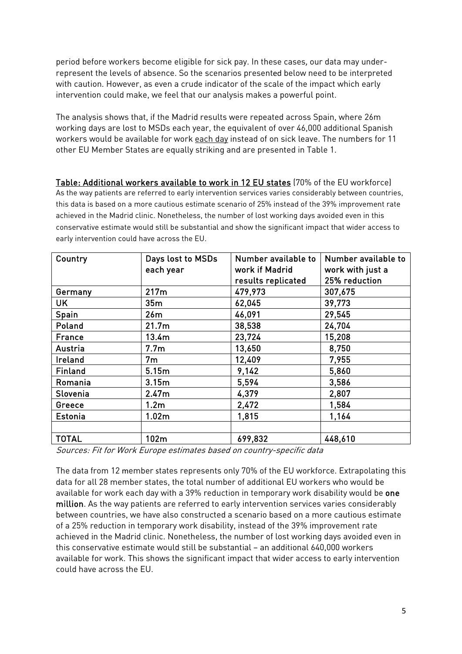period before workers become eligible for sick pay. In these cases, our data may underrepresent the levels of absence. So the scenarios presented below need to be interpreted with caution. However, as even a crude indicator of the scale of the impact which early intervention could make, we feel that our analysis makes a powerful point.

The analysis shows that, if the Madrid results were repeated across Spain, where 26m working days are lost to MSDs each year, the equivalent of over 46,000 additional Spanish workers would be available for work each day instead of on sick leave. The numbers for 11 other EU Member States are equally striking and are presented in Table 1.

Table: Additional workers available to work in 12 EU states (70% of the EU workforce) As the way patients are referred to early intervention services varies considerably between countries, this data is based on a more cautious estimate scenario of 25% instead of the 39% improvement rate achieved in the Madrid clinic. Nonetheless, the number of lost working days avoided even in this conservative estimate would still be substantial and show the significant impact that wider access to early intervention could have across the EU.

| Country        | Days lost to MSDs | Number available to | Number available to |
|----------------|-------------------|---------------------|---------------------|
|                | each year         | work if Madrid      | work with just a    |
|                |                   | results replicated  | 25% reduction       |
| Germany        | 217m              | 479,973             | 307,675             |
| UK             | 35m               | 62,045              | 39,773              |
| Spain          | 26m               | 46,091              | 29,545              |
| Poland         | 21.7 <sub>m</sub> | 38,538              | 24,704              |
| France         | 13.4m             | 23,724              | 15,208              |
| Austria        | 7.7 <sub>m</sub>  | 13,650              | 8,750               |
| Ireland        | 7 <sub>m</sub>    | 12,409              | 7,955               |
| <b>Finland</b> | 5.15m             | 9,142               | 5,860               |
| Romania        | 3.15m             | 5,594               | 3,586               |
| Slovenia       | 2.47m             | 4,379               | 2,807               |
| Greece         | 1.2 <sub>m</sub>  | 2,472               | 1,584               |
| <b>Estonia</b> | 1.02m             | 1,815               | 1,164               |
|                |                   |                     |                     |
| <b>TOTAL</b>   | 102m              | 699,832             | 448,610             |

Sources: Fit for Work Europe estimates based on country-specific data

The data from 12 member states represents only 70% of the EU workforce. Extrapolating this data for all 28 member states, the total number of additional EU workers who would be available for work each day with a 39% reduction in temporary work disability would be one million. As the way patients are referred to early intervention services varies considerably between countries, we have also constructed a scenario based on a more cautious estimate of a 25% reduction in temporary work disability, instead of the 39% improvement rate achieved in the Madrid clinic. Nonetheless, the number of lost working days avoided even in this conservative estimate would still be substantial – an additional 640,000 workers available for work. This shows the significant impact that wider access to early intervention could have across the EU.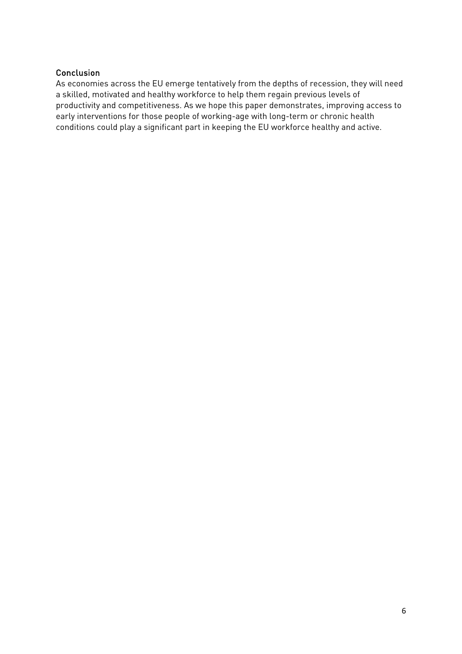#### Conclusion

As economies across the EU emerge tentatively from the depths of recession, they will need a skilled, motivated and healthy workforce to help them regain previous levels of productivity and competitiveness. As we hope this paper demonstrates, improving access to early interventions for those people of working-age with long-term or chronic health conditions could play a significant part in keeping the EU workforce healthy and active.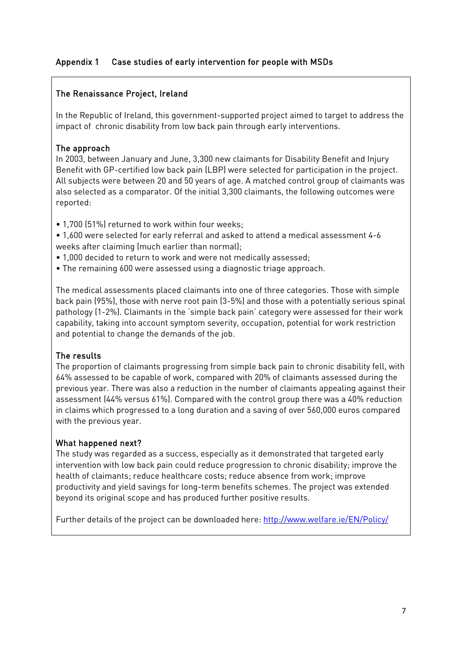## Appendix 1 Case studies of early intervention for people with MSDs

## The Renaissance Project, Ireland

In the Republic of Ireland, this government-supported project aimed to target to address the impact of chronic disability from low back pain through early interventions.

## The approach

In 2003, between January and June, 3,300 new claimants for Disability Benefit and Injury Benefit with GP-certified low back pain (LBP) were selected for participation in the project. All subjects were between 20 and 50 years of age. A matched control group of claimants was also selected as a comparator. Of the initial 3,300 claimants, the following outcomes were reported:

- 1,700 (51%) returned to work within four weeks;
- 1,600 were selected for early referral and asked to attend a medical assessment 4-6 weeks after claiming (much earlier than normal);
- 1,000 decided to return to work and were not medically assessed;
- The remaining 600 were assessed using a diagnostic triage approach.

The medical assessments placed claimants into one of three categories. Those with simple back pain (95%), those with nerve root pain (3-5%) and those with a potentially serious spinal pathology (1-2%). Claimants in the 'simple back pain' category were assessed for their work capability, taking into account symptom severity, occupation, potential for work restriction and potential to change the demands of the job.

## The results

The proportion of claimants progressing from simple back pain to chronic disability fell, with 64% assessed to be capable of work, compared with 20% of claimants assessed during the previous year. There was also a reduction in the number of claimants appealing against their assessment (44% versus 61%). Compared with the control group there was a 40% reduction in claims which progressed to a long duration and a saving of over 560,000 euros compared with the previous year.

## What happened next?

The study was regarded as a success, especially as it demonstrated that targeted early intervention with low back pain could reduce progression to chronic disability; improve the health of claimants; reduce healthcare costs; reduce absence from work; improve productivity and yield savings for long-term benefits schemes. The project was extended beyond its original scope and has produced further positive results.

Further details of the project can be downloaded here:<http://www.welfare.ie/EN/Policy/>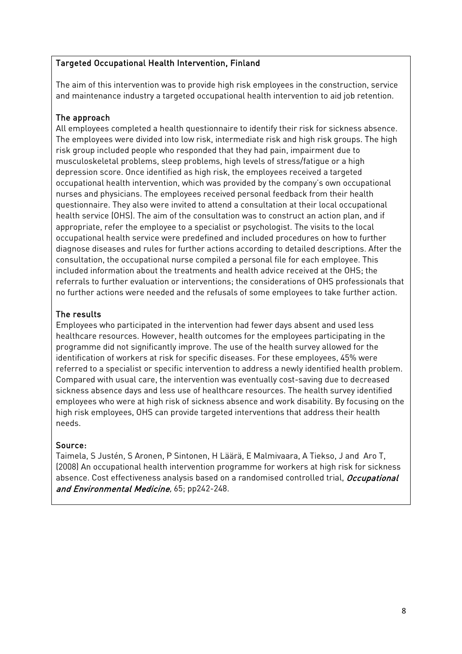#### Targeted Occupational Health Intervention, Finland

The aim of this intervention was to provide high risk employees in the construction, service and maintenance industry a targeted occupational health intervention to aid job retention.

### The approach

All employees completed a health questionnaire to identify their risk for sickness absence. The employees were divided into low risk, intermediate risk and high risk groups. The high risk group included people who responded that they had pain, impairment due to musculoskeletal problems, sleep problems, high levels of stress/fatigue or a high depression score. Once identified as high risk, the employees received a targeted occupational health intervention, which was provided by the company's own occupational nurses and physicians. The employees received personal feedback from their health questionnaire. They also were invited to attend a consultation at their local occupational health service (OHS). The aim of the consultation was to construct an action plan, and if appropriate, refer the employee to a specialist or psychologist. The visits to the local occupational health service were predefined and included procedures on how to further diagnose diseases and rules for further actions according to detailed descriptions. After the consultation, the occupational nurse compiled a personal file for each employee. This included information about the treatments and health advice received at the OHS; the referrals to further evaluation or interventions; the considerations of OHS professionals that no further actions were needed and the refusals of some employees to take further action.

#### The results

Employees who participated in the intervention had fewer days absent and used less healthcare resources. However, health outcomes for the employees participating in the programme did not significantly improve. The use of the health survey allowed for the identification of workers at risk for specific diseases. For these employees, 45% were referred to a specialist or specific intervention to address a newly identified health problem. Compared with usual care, the intervention was eventually cost-saving due to decreased sickness absence days and less use of healthcare resources. The health survey identified employees who were at high risk of sickness absence and work disability. By focusing on the high risk employees, OHS can provide targeted interventions that address their health needs.

#### Source:

Taimela, S Justén, S Aronen, P Sintonen, H Läärä, E Malmivaara, A Tiekso, J and Aro T, (2008) An occupational health intervention programme for workers at high risk for sickness absence. Cost effectiveness analysis based on a randomised controlled trial, Occupational and Environmental Medicine, 65; pp242-248.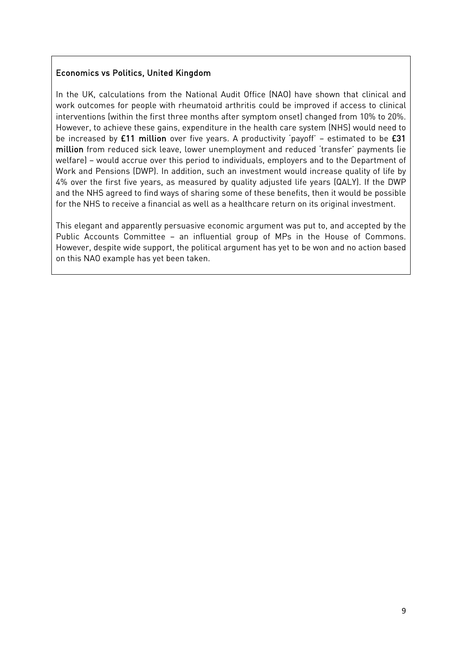### Economics vs Politics, United Kingdom

In the UK, calculations from the National Audit Office (NAO) have shown that clinical and work outcomes for people with rheumatoid arthritis could be improved if access to clinical interventions (within the first three months after symptom onset) changed from 10% to 20%. However, to achieve these gains, expenditure in the health care system (NHS) would need to be increased by £11 million over five years. A productivity 'payoff' – estimated to be £31 million from reduced sick leave, lower unemployment and reduced 'transfer' payments (ie welfare) – would accrue over this period to individuals, employers and to the Department of Work and Pensions (DWP). In addition, such an investment would increase quality of life by 4% over the first five years, as measured by quality adjusted life years (QALY). If the DWP and the NHS agreed to find ways of sharing some of these benefits, then it would be possible for the NHS to receive a financial as well as a healthcare return on its original investment.

This elegant and apparently persuasive economic argument was put to, and accepted by the Public Accounts Committee – an influential group of MPs in the House of Commons. However, despite wide support, the political argument has yet to be won and no action based on this NAO example has yet been taken.